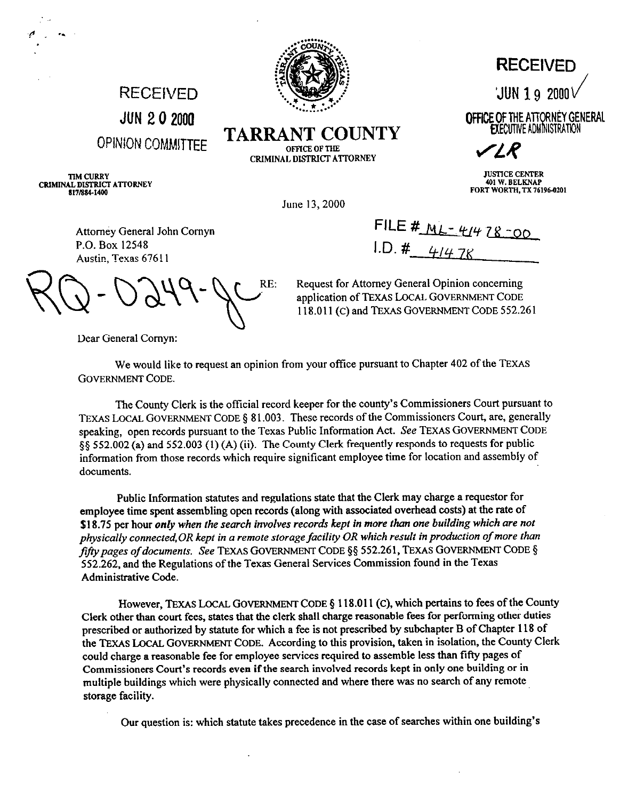

**TARRANT COUNTY** OFFICE OF THE CRIMINAL DISTRICT ATTORNEY

**RECEIVED JUN 2 0 2000 OPIM!ONCQMMITTEE** 

**TIM CURRY** CRIMINAL DISTRICT ATTORNEY 817/884-1400

**RECEIVED** 

**JUN 1 9 2000** 

OFFICE OF THE ATTORNEY GENERAL **EXECUTIVE ADMINISTRATION** 

r IR

**JUSTICE CENTER 401 W. BELKNAP** FORT WORTH, TX 76196-0201

June 13,200O

**FILE # ML-44 78-00 I.D. #** 4/4 78

Request for Attorney General Opinion concerning application of TEXAS LOCAL GOVERNMENT CODE 118.011 (C) and TEXAS GOVERNMENT CODE 552.261

Attorney General John Comyn P.O. Box 12548 Austin, Texas 6761 I

 $-$  DQ49- c $C_{\text{BE}}$   $\frac{R}{a}$ 

Dear General Cornyn:

We would like to request an opinion from your office pursuant to Chapter 402 of the TEXAS GOVERNMENT CODE.

The County Clerk is the official record keeper for the county's Commissioners Court pursuant to TEXAS LOCAL GOVERNMENT CODE § 81.003. These records of the Commissioners Court, are, generally speaking, open records pursuant to the Texas Public Information Act. See TEXAS GOVERNMENT CODE \$5 552.002 (a) and 552.003 (1) (A) (ii). The County Clerk frequently responds to requests for public information from those records which require significant employee time for location and assembly of documents.

Public Information statutes and regulations state that the Clerk may charge a requestor for employee time spent assembling open records (along with associated overhead costs) at the rate of *\$18.75* per hour *only when the search involves records kept in more than one building which ore not physically connected, OR kept in a remote storage facility OR which result in production of more than* fifty pages of documents. See TEXAS GOVERNMENT CODE §§ 552.261, TEXAS GOVERNMENT CODE § 552.262, and the Regulations of the Texas General Services Commission found in the Texas Administrative Code.

However, TEXAS LOCAL GOVERNMENT CODE § 118.011 (C), which pertains to fees of the County Clerk other than court fees, states that the clerk shall charge reasonable fees for performing other duties prescribed or authorized by statute for which a fee is not prescribed by subchapter B of Chapter 118 of the TEXAS LOCAL GOVERNMENT CODE. According to this provision, taken in isolation, the County Clerk could charge a reasonable fee for employee services required to assemble less than fifty pages of Commissioners Court's records even if the search involved records kept in only one building or in multiple buildings which were physically connected and where there was no search of any remote storage facility.

Our question is: which statute takes precedence in the case of searches within one building's